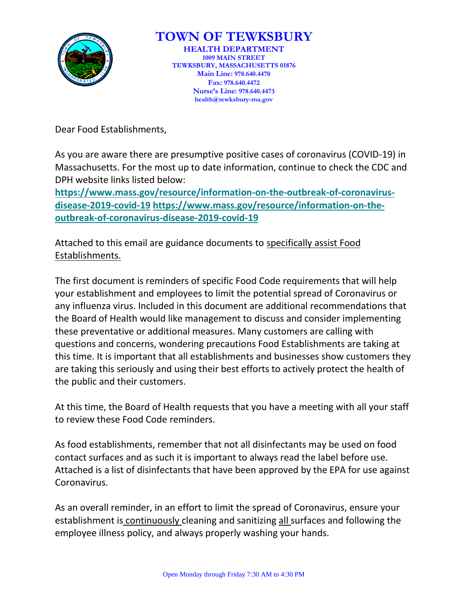

## **TOWN OF TEWKSBURY**

**HEALTH DEPARTMENT 1009 MAIN STREET TEWKSBURY, MASSACHUSETTS 01876 Main Line: 978.640.4470 Fax: 978.640.4472 Nurse's Line: 978.640.4473 health@tewksbury-ma.gov**

Dear Food Establishments,

As you are aware there are presumptive positive cases of coronavirus (COVID-19) in Massachusetts. For the most up to date information, continue to check the CDC and DPH website links listed below:

**[https://www.mass.gov/resource/information-on-the-outbreak-of-coronavirus](https://mhoa.us3.list-manage.com/track/click?u=a1b0f89bb03fdc185f0b23f1a&id=9a36d534d6&e=6053ae9cb0)[disease-2019-covid-19](https://mhoa.us3.list-manage.com/track/click?u=a1b0f89bb03fdc185f0b23f1a&id=9a36d534d6&e=6053ae9cb0) [https://www.mass.gov/resource/information-on-the](https://mhoa.us3.list-manage.com/track/click?u=a1b0f89bb03fdc185f0b23f1a&id=33d56b669d&e=6053ae9cb0)[outbreak-of-coronavirus-disease-2019-covid-19](https://mhoa.us3.list-manage.com/track/click?u=a1b0f89bb03fdc185f0b23f1a&id=33d56b669d&e=6053ae9cb0)**

Attached to this email are guidance documents to specifically assist Food Establishments.

The first document is reminders of specific Food Code requirements that will help your establishment and employees to limit the potential spread of Coronavirus or any influenza virus. Included in this document are additional recommendations that the Board of Health would like management to discuss and consider implementing these preventative or additional measures. Many customers are calling with questions and concerns, wondering precautions Food Establishments are taking at this time. It is important that all establishments and businesses show customers they are taking this seriously and using their best efforts to actively protect the health of the public and their customers.

At this time, the Board of Health requests that you have a meeting with all your staff to review these Food Code reminders.

As food establishments, remember that not all disinfectants may be used on food contact surfaces and as such it is important to always read the label before use. Attached is a list of disinfectants that have been approved by the EPA for use against Coronavirus.

As an overall reminder, in an effort to limit the spread of Coronavirus, ensure your establishment is continuously cleaning and sanitizing all surfaces and following the employee illness policy, and always properly washing your hands.